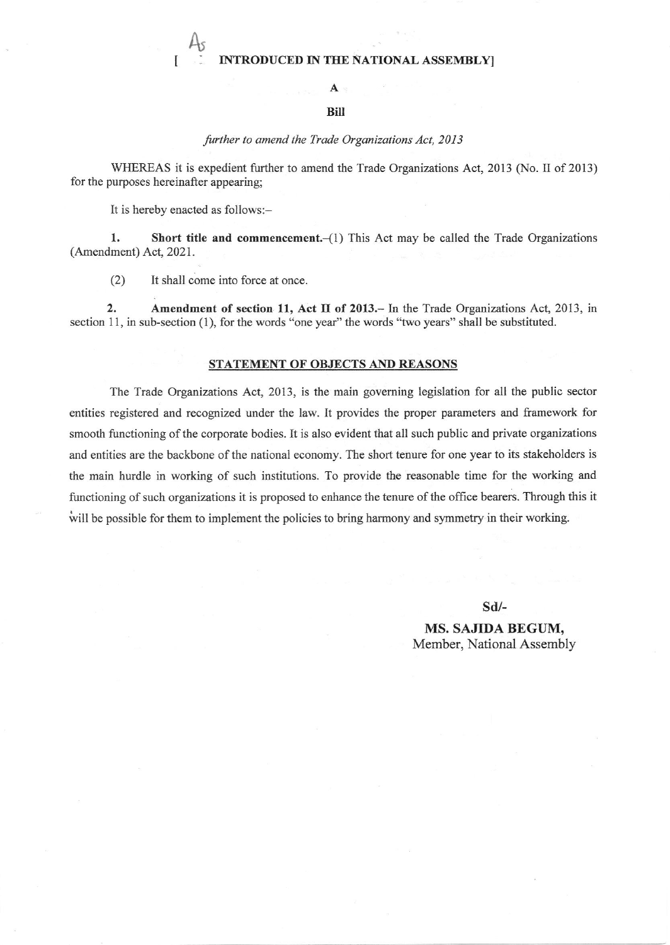## INTRODUCED IN THE NATIONAL ASSEMBLY

# A

### BiII

#### further to amend the Trade Organizations Act, 2013

WHEREAS it is expedient firther to amend the Trade Organizations Act, 2013 (No. II of 2013) for the purposes hereinafler appearing;

It is hereby enacted as follows:-

 $A_{\mathcal{S}}$ 

1. Short title and commencement. $-(1)$  This Act may be called the Trade Organizations (Amendment) Act, 2021.

(2) It shall come into force at once

2. Amendment of section 11, Act II of 2013. In the Trade Organizations Act, 2013, in section 11, in sub-section (1), for the words "one year" the words "two years" shall be substituted.

#### STATEMENT OF OBJECTS AND REASONS

The Trade Organizations Act, 2013, is the main governing legislation for all the public sector entities registered and recognized under the law. It provides the proper parameters and fiamework for smooth functioning of the corporate bodies. It is also evident that all such public and private organizations and entities are the backbone of the national economy. The short tenure for one year to its stakeholders is the main hurdle in working of such institutions. To provide the reasonable time for the working and functioning of such organizations it is proposed to enhance the tenure of the office bearers. Through this it will be possible for them to implement the policies to bring harmony and symmetry in their working.

sd/-

MS. SAJIDA BEGUM, Member, National Assembly